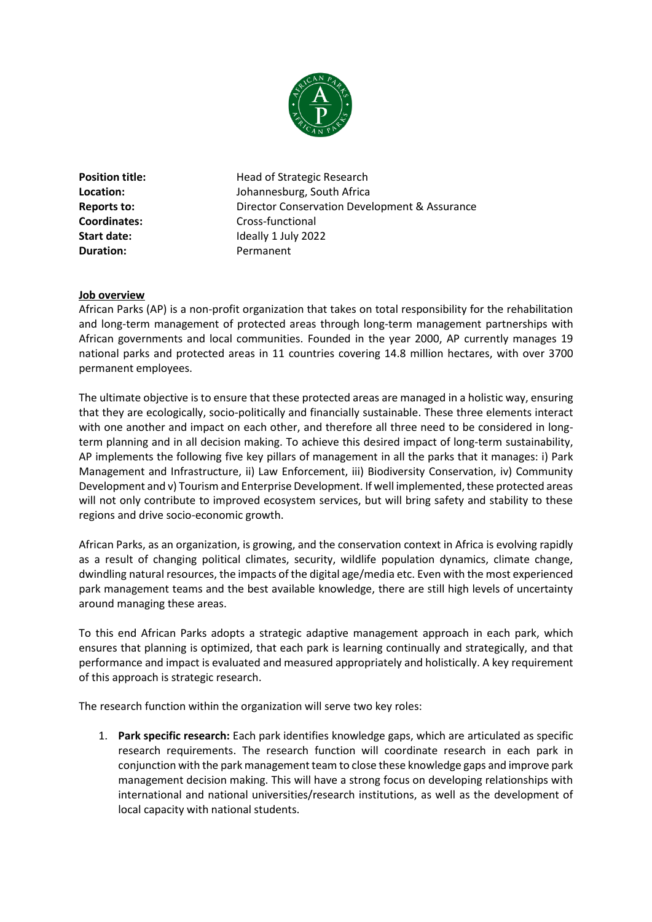

**Duration:** Permanent

**Position title:** Head of Strategic Research **Location:** Johannesburg, South Africa **Reports to:** Director Conservation Development & Assurance **Coordinates:** Cross-functional **Start date:** Ideally 1 July 2022

## **Job overview**

African Parks (AP) is a non-profit organization that takes on total responsibility for the rehabilitation and long-term management of protected areas through long-term management partnerships with African governments and local communities. Founded in the year 2000, AP currently manages 19 national parks and protected areas in 11 countries covering 14.8 million hectares, with over 3700 permanent employees.

The ultimate objective is to ensure that these protected areas are managed in a holistic way, ensuring that they are ecologically, socio-politically and financially sustainable. These three elements interact with one another and impact on each other, and therefore all three need to be considered in longterm planning and in all decision making. To achieve this desired impact of long-term sustainability, AP implements the following five key pillars of management in all the parks that it manages: i) Park Management and Infrastructure, ii) Law Enforcement, iii) Biodiversity Conservation, iv) Community Development and v) Tourism and Enterprise Development. If well implemented, these protected areas will not only contribute to improved ecosystem services, but will bring safety and stability to these regions and drive socio-economic growth.

African Parks, as an organization, is growing, and the conservation context in Africa is evolving rapidly as a result of changing political climates, security, wildlife population dynamics, climate change, dwindling natural resources, the impacts of the digital age/media etc. Even with the most experienced park management teams and the best available knowledge, there are still high levels of uncertainty around managing these areas.

To this end African Parks adopts a strategic adaptive management approach in each park, which ensures that planning is optimized, that each park is learning continually and strategically, and that performance and impact is evaluated and measured appropriately and holistically. A key requirement of this approach is strategic research.

The research function within the organization will serve two key roles:

1. **Park specific research:** Each park identifies knowledge gaps, which are articulated as specific research requirements. The research function will coordinate research in each park in conjunction with the park management team to close these knowledge gaps and improve park management decision making. This will have a strong focus on developing relationships with international and national universities/research institutions, as well as the development of local capacity with national students.